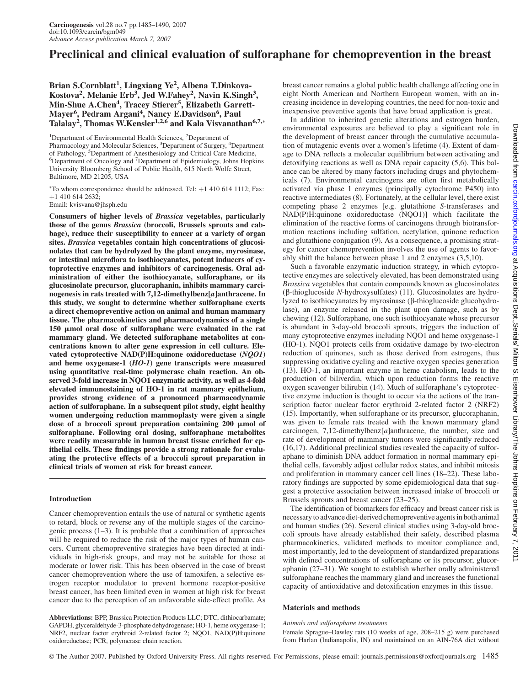# Preclinical and clinical evaluation of sulforaphane for chemoprevention in the breast

Brian S.Cornblatt<sup>1</sup>, Lingxiang Ye<sup>2</sup>, Albena T.Dinkova-Kostova<sup>2</sup>, Melanie Erb<sup>3</sup>, Jed W.Fahey<sup>2</sup>, Navin K.Singh<sup>3</sup>, Min-Shue A.Chen<sup>4</sup>, Tracey Stierer<sup>5</sup>, Elizabeth Garrett-Mayer<sup>6</sup>, Pedram Argani<sup>4</sup>, Nancy E.Davidson<sup>6</sup>, Paul Talalay<sup>2</sup>, Thomas W.Kensler<sup>1,2,6</sup> and Kala Visvanathan<sup>6,7,</sup>\*

<sup>1</sup>Department of Environmental Health Sciences, <sup>2</sup>Department of Pharmacology and Molecular Sciences, <sup>3</sup>Department of Surgery, <sup>4</sup>Department of Pathology, <sup>5</sup>Department of Anesthesiology and Critical Care Medicine, Department of Oncology and <sup>7</sup> Department of Epidemiology, Johns Hopkins University Bloomberg School of Public Health, 615 North Wolfe Street, Baltimore, MD 21205, USA

\*To whom correspondence should be addressed. Tel: +1 410 614 1112; Fax: þ1 410 614 2632;

Email: kvisvana@jhsph.edu

Consumers of higher levels of Brassica vegetables, particularly those of the genus Brassica (broccoli, Brussels sprouts and cabbage), reduce their susceptibility to cancer at a variety of organ sites. Brassica vegetables contain high concentrations of glucosinolates that can be hydrolyzed by the plant enzyme, myrosinase, or intestinal microflora to isothiocyanates, potent inducers of cytoprotective enzymes and inhibitors of carcinogenesis. Oral administration of either the isothiocyanate, sulforaphane, or its glucosinolate precursor, glucoraphanin, inhibits mammary carcinogenesis in rats treated with 7,12-dimethylbenz[a]anthracene. In this study, we sought to determine whether sulforaphane exerts a direct chemopreventive action on animal and human mammary tissue. The pharmacokinetics and pharmacodynamics of a single  $150 \mu$  mol oral dose of sulforaphane were evaluated in the rat mammary gland. We detected sulforaphane metabolites at concentrations known to alter gene expression in cell culture. Elevated cytoprotective NAD(P)H:quinone oxidoreductase (NQO1) and heme oxygenase-1 (HO-1) gene transcripts were measured using quantitative real-time polymerase chain reaction. An observed 3-fold increase in NQO1 enzymatic activity, as well as 4-fold elevated immunostaining of HO-1 in rat mammary epithelium, provides strong evidence of a pronounced pharmacodynamic action of sulforaphane. In a subsequent pilot study, eight healthy women undergoing reduction mammoplasty were given a single dose of a broccoli sprout preparation containing  $200 \text{ }\mu\text{mol}$  of sulforaphane. Following oral dosing, sulforaphane metabolites were readily measurable in human breast tissue enriched for epithelial cells. These findings provide a strong rationale for evaluating the protective effects of a broccoli sprout preparation in clinical trials of women at risk for breast cancer.

## Introduction

Cancer chemoprevention entails the use of natural or synthetic agents to retard, block or reverse any of the multiple stages of the carcinogenic process (1–3). It is probable that a combination of approaches will be required to reduce the risk of the major types of human cancers. Current chemopreventive strategies have been directed at individuals in high-risk groups, and may not be suitable for those at moderate or lower risk. This has been observed in the case of breast cancer chemoprevention where the use of tamoxifen, a selective estrogen receptor modulator to prevent hormone receptor-positive breast cancer, has been limited even in women at high risk for breast cancer due to the perception of an unfavorable side-effect profile. As

Abbreviations: BPP, Brassica Protection Products LLC; DTC, dithiocarbamate; GAPDH, glyceraldehyde-3-phosphate dehydrogenase; HO-1, heme oxygenase-1; NRF2, nuclear factor erythroid 2-related factor 2; NQO1, NAD(P)H:quinone oxidoreductase; PCR, polymerase chain reaction.

breast cancer remains a global public health challenge affecting one in eight North American and Northern European women, with an increasing incidence in developing countries, the need for non-toxic and inexpensive preventive agents that have broad application is great.

In addition to inherited genetic alterations and estrogen burden, environmental exposures are believed to play a significant role in the development of breast cancer through the cumulative accumulation of mutagenic events over a women's lifetime (4). Extent of damage to DNA reflects a molecular equilibrium between activating and detoxifying reactions as well as DNA repair capacity (5,6). This balance can be altered by many factors including drugs and phytochemicals (7). Environmental carcinogens are often first metabolically activated via phase 1 enzymes (principally cytochrome P450) into reactive intermediates (8). Fortunately, at the cellular level, there exist competing phase 2 enzymes [e.g. glutathione S-transferases and NAD(P)H:quinone oxidoreductase (NQO1)] which facilitate the elimination of the reactive forms of carcinogens through biotransformation reactions including sulfation, acetylation, quinone reduction and glutathione conjugation (9). As a consequence, a promising strategy for cancer chemoprevention involves the use of agents to favorably shift the balance between phase 1 and 2 enzymes (3,5,10).

Such a favorable enzymatic induction strategy, in which cytoprotective enzymes are selectively elevated, has been demonstrated using Brassica vegetables that contain compounds known as glucosinolates  $(\beta$ -thioglucoside N-hydroxysulfates) (11). Glucosinolates are hydrolyzed to isothiocyanates by myrosinase (β-thioglucoside glucohydrolase), an enzyme released in the plant upon damage, such as by chewing (12). Sulforaphane, one such isothiocyanate whose precursor is abundant in 3-day-old broccoli sprouts, triggers the induction of many cytoprotective enzymes including NQO1 and heme oxygenase-1 (HO-1). NQO1 protects cells from oxidative damage by two-electron reduction of quinones, such as those derived from estrogens, thus suppressing oxidative cycling and reactive oxygen species generation (13). HO-1, an important enzyme in heme catabolism, leads to the production of biliverdin, which upon reduction forms the reactive oxygen scavenger bilirubin (14). Much of sulforaphane's cytoprotective enzyme induction is thought to occur via the actions of the transcription factor nuclear factor erythroid 2-related factor 2 (NRF2) (15). Importantly, when sulforaphane or its precursor, glucoraphanin, was given to female rats treated with the known mammary gland carcinogen, 7,12-dimethylbenz[a]anthracene, the number, size and rate of development of mammary tumors were significantly reduced (16,17). Additional preclinical studies revealed the capacity of sulforaphane to diminish DNA adduct formation in normal mammary epithelial cells, favorably adjust cellular redox states, and inhibit mitosis and proliferation in mammary cancer cell lines (18–22). These laboratory findings are supported by some epidemiological data that suggest a protective association between increased intake of broccoli or Brussels sprouts and breast cancer (23–25).

The identification of biomarkers for efficacy and breast cancer risk is necessary to advance diet-derived chemopreventive agents in both animal and human studies (26). Several clinical studies using 3-day-old broccoli sprouts have already established their safety, described plasma pharmacokinetics, validated methods to monitor compliance and, most importantly, led to the development of standardized preparations with defined concentrations of sulforaphane or its precursor, glucoraphanin (27–31). We sought to establish whether orally administered sulforaphane reaches the mammary gland and increases the functional capacity of antioxidative and detoxification enzymes in this tissue.

## Materials and methods

#### Animals and sulforaphane treatments

Female Sprague–Dawley rats (10 weeks of age, 208–215 g) were purchased from Harlan (Indianapolis, IN) and maintained on an AIN-76A diet without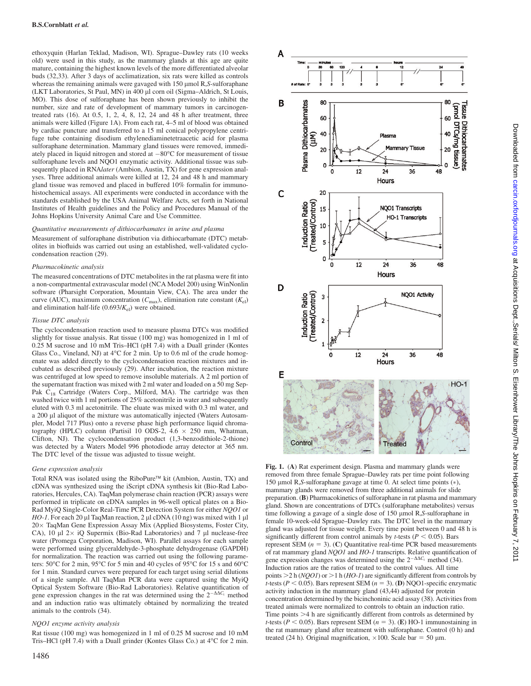ethoxyquin (Harlan Teklad, Madison, WI). Sprague–Dawley rats (10 weeks old) were used in this study, as the mammary glands at this age are quite mature, containing the highest known levels of the more differentiated alveolar buds (32,33). After 3 days of acclimatization, six rats were killed as controls whereas the remaining animals were gavaged with  $150 \mu$ mol R,S-sulforaphane (LKT Laboratories, St Paul, MN) in 400 ll corn oil (Sigma–Aldrich, St Louis, MO). This dose of sulforaphane has been shown previously to inhibit the number, size and rate of development of mammary tumors in carcinogentreated rats  $(16)$ . At  $0.5$ ,  $1$ ,  $2$ ,  $4$ ,  $8$ ,  $12$ ,  $24$  and  $48$  h after treatment, three animals were killed (Figure 1A). From each rat, 4–5 ml of blood was obtained by cardiac puncture and transferred to a 15 ml conical polypropylene centrifuge tube containing disodium ethylenediaminetetraacetic acid for plasma sulforaphane determination. Mammary gland tissues were removed, immediately placed in liquid nitrogen and stored at  $-80^{\circ}$ C for measurement of tissue sulforaphane levels and NQO1 enzymatic activity. Additional tissue was subsequently placed in RNAlater (Ambion, Austin, TX) for gene expression analyses. Three additional animals were killed at 12, 24 and 48 h and mammary gland tissue was removed and placed in buffered 10% formalin for immunohistochemical assays. All experiments were conducted in accordance with the standards established by the USA Animal Welfare Acts, set forth in National Institutes of Health guidelines and the Policy and Procedures Manual of the Johns Hopkins University Animal Care and Use Committee.

#### Quantitative measurements of dithiocarbamates in urine and plasma

Measurement of sulforaphane distribution via dithiocarbamate (DTC) metabolites in biofluids was carried out using an established, well-validated cyclocondensation reaction (29).

#### Pharmacokinetic analysis

The measured concentrations of DTC metabolites in the rat plasma were fit into a non-compartmental extravascular model (NCA Model 200) using WinNonlin software (Pharsight Corporation, Mountain View, CA). The area under the curve (AUC), maximum concentration ( $C_{\text{max}}$ ), elimination rate constant ( $K_{\text{el}}$ ) and elimination half-life  $(0.693/K_{el})$  were obtained.

## Tissue DTC analysis

The cyclocondensation reaction used to measure plasma DTCs was modified slightly for tissue analysis. Rat tissue (100 mg) was homogenized in 1 ml of 0.25 M sucrose and 10 mM Tris–HCl (pH 7.4) with a Duall grinder (Kontes Glass Co., Vineland, NJ) at  $4^{\circ}$ C for 2 min. Up to 0.6 ml of the crude homogenate was added directly to the cyclocondensation reaction mixtures and incubated as described previously (29). After incubation, the reaction mixture was centrifuged at low speed to remove insoluble materials. A 2 ml portion of the supernatant fraction was mixed with 2 ml water and loaded on a 50 mg Sep-Pak C<sub>18</sub> Cartridge (Waters Corp., Milford, MA). The cartridge was then washed twice with 1 ml portions of 25% acetonitrile in water and subsequently eluted with 0.3 ml acetonitrile. The eluate was mixed with 0.3 ml water, and a 200 µl aliquot of the mixture was automatically injected (Waters Autosampler, Model 717 Plus) onto a reverse phase high performance liquid chromatography (HPLC) column (Partisil 10 ODS-2, 4.6  $\times$  250 mm, Whatman, Clifton, NJ). The cyclocondensation product (1,3-benzodithiole-2-thione) was detected by a Waters Model 996 photodiode array detector at 365 nm. The DTC level of the tissue was adjusted to tissue weight.

#### Gene expression analysis

Total RNA was isolated using the RiboPure<sup> $TM$ </sup> kit (Ambion, Austin, TX) and cDNA was synthesized using the iScript cDNA synthesis kit (Bio-Rad Laboratories, Hercules, CA). TaqMan polymerase chain reaction (PCR) assays were performed in triplicate on cDNA samples in 96-well optical plates on a Bio-Rad MyiQ Single-Color Real-Time PCR Detection System for either NQO1 or  $HO-1$ . For each 20 µl TaqMan reaction, 2 µl cDNA (10 ng) was mixed with 1 µl 20 x TaqMan Gene Expression Assay Mix (Applied Biosystems, Foster City, CA),  $10 \text{ µl } 2 \times 10$  Supermix (Bio-Rad Laboratories) and 7  $\mu$ l nuclease-free water (Promega Corporation, Madison, WI). Parallel assays for each sample were performed using glyceraldehyde-3-phosphate dehydrogenase (GAPDH) for normalization. The reaction was carried out using the following parameters:  $50^{\circ}$ C for 2 min,  $95^{\circ}$ C for 5 min and 40 cycles of  $95^{\circ}$ C for 15 s and  $60^{\circ}$ C for 1 min. Standard curves were prepared for each target using serial dilutions of a single sample. All TaqMan PCR data were captured using the MyiQ Optical System Software (Bio-Rad Laboratories). Relative quantification of gene expression changes in the rat was determined using the  $2^{-\Delta\Delta C_t}$  method and an induction ratio was ultimately obtained by normalizing the treated animals to the controls (34).

#### NQO1 enzyme activity analysis

Rat tissue (100 mg) was homogenized in 1 ml of 0.25 M sucrose and 10 mM Tris-HCl (pH 7.4) with a Duall grinder (Kontes Glass Co.) at 4°C for 2 min.



removed from three female Sprague–Dawley rats per time point following 150 µmol R,S-sulforaphane gavage at time 0. At select time points  $(*)$ , mammary glands were removed from three additional animals for slide preparation. (B) Pharmacokinetics of sulforaphane in rat plasma and mammary gland. Shown are concentrations of DTCs (sulforaphane metabolites) versus time following a gavage of a single dose of 150 µmol R,S-sulforaphane in female 10-week-old Sprague–Dawley rats. The DTC level in the mammary gland was adjusted for tissue weight. Every time point between 0 and 48 h is significantly different from control animals by *t*-tests ( $P < 0.05$ ). Bars represent SEM  $(n = 3)$ . (C) Quantitative real-time PCR based measurements of rat mammary gland NQO1 and HO-1 transcripts. Relative quantification of gene expression changes was determined using the  $2^{-\Delta\Delta C_t}$  method (34). Induction ratios are the ratios of treated to the control values. All time points  $>$  2 h (NQO1) or  $>$  1 h (HO-1) are significantly different from controls by t-tests ( $P < 0.05$ ). Bars represent SEM ( $n = 3$ ). (D) NQO1-specific enzymatic activity induction in the mammary gland (43,44) adjusted for protein concentration determined by the bicinchoninic acid assay (38). Activities from treated animals were normalized to controls to obtain an induction ratio. Time points  $>4$  h are significantly different from controls as determined by t-tests ( $P < 0.05$ ). Bars represent SEM ( $n = 3$ ). (E) HO-1 immunostaining in the rat mammary gland after treatment with sulforaphane. Control (0 h) and treated (24 h). Original magnification,  $\times 100$ . Scale bar = 50 µm.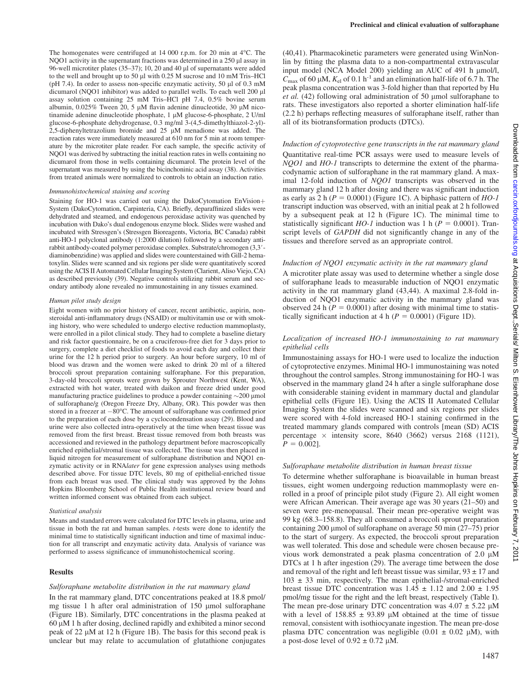Eisenhower Library/The Johns Hopkins on February 7, 201

The homogenates were centrifuged at  $14\ 000$  r.p.m. for  $20$  min at  $4^{\circ}$ C. The NQO1 activity in the supernatant fractions was determined in a  $250 \mu$ l assay in 96-well microtiter plates (35–37); 10, 20 and 40 µl of supernatants were added to the well and brought up to 50 µl with 0.25 M sucrose and 10 mM Tris–HCl (pH 7.4). In order to assess non-specific enzymatic activity, 50  $\mu$ l of 0.3 mM dicumarol (NQO1 inhibitor) was added to parallel wells. To each well 200 µl assay solution containing 25 mM Tris–HCl pH 7.4, 0.5% bovine serum albumin,  $0.025\%$  Tween 20, 5  $\mu$ M flavin adenine dinucleotide, 30  $\mu$ M nicotinamide adenine dinucleotide phosphate, 1 uM glucose-6-phosphate, 2 U/ml glucose-6-phosphate dehydrogenase, 0.3 mg/ml 3-(4,5-dimethylthiazol-2-yl)- 2,5-diphenyltetrazolium bromide and  $25 \mu M$  menadione was added. The reaction rates were immediately measured at 610 nm for 5 min at room temperature by the microtiter plate reader. For each sample, the specific activity of NQO1 was derived by subtracting the initial reaction rates in wells containing no dicumarol from those in wells containing dicumarol. The protein level of the supernatant was measured by using the bicinchoninic acid assay (38). Activities from treated animals were normalized to controls to obtain an induction ratio.

#### Immunohistochemical staining and scoring

Staining for HO-1 was carried out using the DakoCytomation EnVision+ System (DakoCytomation, Carpinteria, CA). Briefly, deparaffinized slides were dehydrated and steamed, and endogenous peroxidase activity was quenched by incubation with Dako's dual endogenous enzyme block. Slides were washed and incubated with Stressgen's (Stressgen Bioreagents, Victoria, BC Canada) rabbit anti-HO-1 polyclonal antibody (1:2000 dilution) followed by a secondary antirabbit antibody-coated polymer peroxidase complex. Substrate/chromogen (3,3*#* diaminobenzidine) was applied and slides were counterstained with Gill-2 hematoxylin. Slides were scanned and six regions per slide were quantitatively scored using the ACIS II Automated Cellular Imaging System (Clarient, Aliso Viejo, CA) as described previously (39). Negative controls utilizing rabbit serum and secondary antibody alone revealed no immunostaining in any tissues examined.

#### Human pilot study design

Eight women with no prior history of cancer, recent antibiotic, aspirin, nonsteroidal anti-inflammatory drugs (NSAID) or multivitamin use or with smoking history, who were scheduled to undergo elective reduction mammoplasty, were enrolled in a pilot clinical study. They had to complete a baseline dietary and risk factor questionnaire, be on a cruciferous-free diet for 3 days prior to surgery, complete a diet checklist of foods to avoid each day and collect their urine for the 12 h period prior to surgery. An hour before surgery, 10 ml of blood was drawn and the women were asked to drink 20 ml of a filtered broccoli sprout preparation containing sulforaphane. For this preparation, 3-day-old broccoli sprouts were grown by Sprouter Northwest (Kent, WA), extracted with hot water, treated with daikon and freeze dried under good manufacturing practice guidelines to produce a powder containing  $\sim$ 200 µmol of sulforaphane/g (Oregon Freeze Dry, Albany, OR). This powder was then stored in a freezer at -80°C. The amount of sulforaphane was confirmed prior to the preparation of each dose by a cyclocondensation assay (29). Blood and urine were also collected intra-operatively at the time when breast tissue was removed from the first breast. Breast tissue removed from both breasts was accessioned and reviewed in the pathology department before macroscopically enriched epithelial/stromal tissue was collected. The tissue was then placed in liquid nitrogen for measurement of sulforaphane distribution and NQO1 enzymatic activity or in RNAlater for gene expression analyses using methods described above. For tissue DTC levels, 80 mg of epithelial-enriched tissue from each breast was used. The clinical study was approved by the Johns Hopkins Bloomberg School of Public Health institutional review board and written informed consent was obtained from each subject.

#### Statistical analysis

Means and standard errors were calculated for DTC levels in plasma, urine and tissue in both the rat and human samples. t-tests were done to identify the minimal time to statistically significant induction and time of maximal induction for all transcript and enzymatic activity data. Analysis of variance was performed to assess significance of immunohistochemical scoring.

## **Results**

## Sulforaphane metabolite distribution in the rat mammary gland

In the rat mammary gland, DTC concentrations peaked at 18.8 pmol/ mg tissue 1 h after oral administration of 150 µmol sulforaphane (Figure 1B). Similarly, DTC concentrations in the plasma peaked at  $60 \mu$ M 1 h after dosing, declined rapidly and exhibited a minor second peak of 22  $\mu$ M at 12 h (Figure 1B). The basis for this second peak is unclear but may relate to accumulation of glutathione conjugates

(40,41). Pharmacokinetic parameters were generated using WinNonlin by fitting the plasma data to a non-compartmental extravascular input model (NCA Model 200) yielding an AUC of 491 h µmol/l,  $C_{\text{max}}$  of 60 µM,  $K_{\text{el}}$  of 0.1 h<sup>-1</sup> and an elimination half-life of 6.7 h. The peak plasma concentration was 3-fold higher than that reported by Hu *et al.* (42) following oral administration of 50 µmol sulforaphane to rats. These investigators also reported a shorter elimination half-life (2.2 h) perhaps reflecting measures of sulforaphane itself, rather than all of its biotransformation products (DTCs).

## Induction of cytoprotective gene transcripts in the rat mammary gland Quantitative real-time PCR assays were used to measure levels of NOO1 and HO-1 transcripts to determine the extent of the pharmacodynamic action of sulforaphane in the rat mammary gland. A maximal 12-fold induction of NQO1 transcripts was observed in the mammary gland 12 h after dosing and there was significant induction as early as 2 h ( $P = 0.0001$ ) (Figure 1C). A biphasic pattern of HO-1 transcript induction was observed, with an initial peak at 2 h followed by a subsequent peak at 12 h (Figure 1C). The minimal time to statistically significant  $HO-I$  induction was 1 h ( $P = 0.0001$ ). Transcript levels of GAPDH did not significantly change in any of the tissues and therefore served as an appropriate control.

#### Induction of NQO1 enzymatic activity in the rat mammary gland

A microtiter plate assay was used to determine whether a single dose of sulforaphane leads to measurable induction of NQO1 enzymatic activity in the rat mammary gland (43,44). A maximal 2.8-fold induction of NQO1 enzymatic activity in the mammary gland was observed 24 h ( $P = 0.0001$ ) after dosing with minimal time to statistically significant induction at 4 h ( $P = 0.0001$ ) (Figure 1D).

## Localization of increased HO-1 immunostaining to rat mammary epithelial cells

Immunostaining assays for HO-1 were used to localize the induction of cytoprotective enzymes. Minimal HO-1 immunostaining was noted throughout the control samples. Strong immunostaining for HO-1 was observed in the mammary gland 24 h after a single sulforaphane dose with considerable staining evident in mammary ductal and glandular epithelial cells (Figure 1E). Using the ACIS II Automated Cellular Imaging System the slides were scanned and six regions per slides were scored with 4-fold increased HO-1 staining confirmed in the treated mammary glands compared with controls [mean (SD) ACIS percentage  $\times$  intensity score, 8640 (3662) versus 2168 (1121),  $P = 0.0021$ .

## Sulforaphane metabolite distribution in human breast tissue

To determine whether sulforaphane is bioavailable in human breast tissues, eight women undergoing reduction mammoplasty were enrolled in a proof of principle pilot study (Figure 2). All eight women were African American. Their average age was 30 years (21–50) and seven were pre-menopausal. Their mean pre-operative weight was 99 kg (68.3–158.8). They all consumed a broccoli sprout preparation containing 200 umol of sulforaphane on average 50 min (27–75) prior to the start of surgery. As expected, the broccoli sprout preparation was well tolerated. This dose and schedule were chosen because previous work demonstrated a peak plasma concentration of  $2.0 \mu M$ DTCs at 1 h after ingestion (29). The average time between the dose and removal of the right and left breast tissue was similar,  $93 \pm 17$  and  $103 \pm 33$  min, respectively. The mean epithelial-/stromal-enriched breast tissue DTC concentration was  $1.45 \pm 1.12$  and  $2.00 \pm 1.95$ pmol/mg tissue for the right and the left breast, respectively (Table I). The mean pre-dose urinary DTC concentration was  $4.07 \pm 5.22 \mu M$ with a level of  $158.85 \pm 93.89$  µM obtained at the time of tissue removal, consistent with isothiocyanate ingestion. The mean pre-dose plasma DTC concentration was negligible  $(0.01 \pm 0.02 \mu M)$ , with a post-dose level of  $0.92 \pm 0.72$  µM.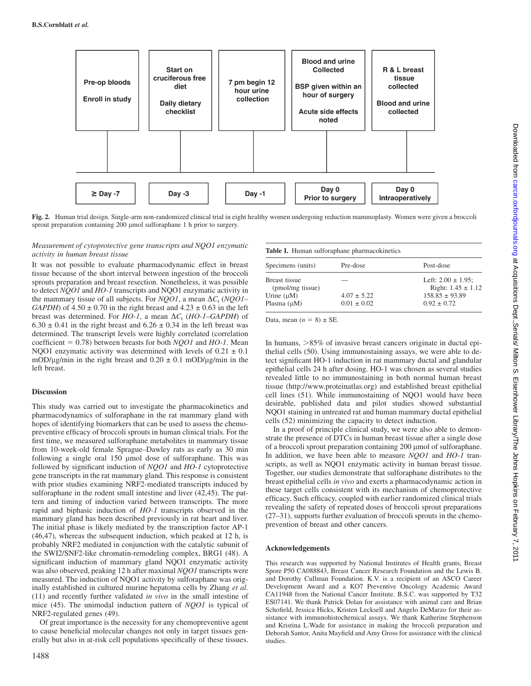

Fig. 2. Human trial design. Single-arm non-randomized clinical trial in eight healthy women undergoing reduction mammoplasty. Women were given a broccoli sprout preparation containing 200 µmol sulforaphane 1 h prior to surgery.

## Measurement of cytoprotective gene transcripts and NQO1 enzymatic activity in human breast tissue

It was not possible to evaluate pharmacodynamic effect in breast tissue because of the short interval between ingestion of the broccoli sprouts preparation and breast resection. Nonetheless, it was possible to detect *NOO1* and *HO-1* transcripts and NOO1 enzymatic activity in the mammary tissue of all subjects. For NQO1, a mean  $\Delta C_t$  (NQO1– GAPDH) of  $4.50 \pm 0.70$  in the right breast and  $4.23 \pm 0.63$  in the left breast was determined. For HO-1, a mean  $\Delta C_t$  (HO-1–GAPDH) of  $6.30 \pm 0.41$  in the right breast and  $6.26 \pm 0.34$  in the left breast was determined. The transcript levels were highly correlated (correlation coefficient = 0.78) between breasts for both  $NQO1$  and  $HO-I$ . Mean NOO1 enzymatic activity was determined with levels of  $0.21 \pm 0.1$ mOD/ $\mu$ g/min in the right breast and 0.20  $\pm$  0.1 mOD/ $\mu$ g/min in the left breast.

# Discussion

This study was carried out to investigate the pharmacokinetics and pharmacodynamics of sulforaphane in the rat mammary gland with hopes of identifying biomarkers that can be used to assess the chemopreventive efficacy of broccoli sprouts in human clinical trials. For the first time, we measured sulforaphane metabolites in mammary tissue from 10-week-old female Sprague–Dawley rats as early as 30 min following a single oral 150 µmol dose of sulforaphane. This was followed by significant induction of NQO1 and HO-1 cytoprotective gene transcripts in the rat mammary gland. This response is consistent with prior studies examining NRF2-mediated transcripts induced by sulforaphane in the rodent small intestine and liver (42,45). The pattern and timing of induction varied between transcripts. The more rapid and biphasic induction of  $HO-1$  transcripts observed in the mammary gland has been described previously in rat heart and liver. The initial phase is likely mediated by the transcription factor AP-1 (46,47), whereas the subsequent induction, which peaked at 12 h, is probably NRF2 mediated in conjunction with the catalytic subunit of the SWI2/SNF2-like chromatin-remodeling complex, BRG1 (48). A significant induction of mammary gland NQO1 enzymatic activity was also observed, peaking 12 h after maximal NQO1 transcripts were measured. The induction of NQO1 activity by sulforaphane was originally established in cultured murine hepatoma cells by Zhang et al. (11) and recently further validated in vivo in the small intestine of mice (45). The unimodal induction pattern of NQO1 is typical of NRF2-regulated genes (49).

Of great importance is the necessity for any chemopreventive agent to cause beneficial molecular changes not only in target tissues generally but also in at-risk cell populations specifically of these tissues.

|  | Table I. Human sulforaphane pharmacokinetics |  |
|--|----------------------------------------------|--|
|  |                                              |  |

| Specimens (units)                 | Pre-dose        | Post-dose                                         |
|-----------------------------------|-----------------|---------------------------------------------------|
| Breast tissue<br>(pmol/mg tissue) |                 | Left: $2.00 \pm 1.95$ :<br>Right: $1.45 \pm 1.12$ |
| Urine $(\mu M)$                   | $4.07 \pm 5.22$ | $158.85 \pm 93.89$                                |
| Plasma $(\mu M)$                  | $0.01 \pm 0.02$ | $0.92 \pm 0.72$                                   |

Data, mean  $(n = 8) \pm SE$ .

In humans,  $>85\%$  of invasive breast cancers originate in ductal epithelial cells (50). Using immunostaining assays, we were able to detect significant HO-1 induction in rat mammary ductal and glandular epithelial cells 24 h after dosing. HO-1 was chosen as several studies revealed little to no immunostaining in both normal human breast tissue [\(http://www.proteinatlas.org\)](http://www.proteinatlas.org) and established breast epithelial cell lines (51). While immunostaining of NQO1 would have been desirable, published data and pilot studies showed substantial NQO1 staining in untreated rat and human mammary ductal epithelial cells (52) minimizing the capacity to detect induction.

In a proof of principle clinical study, we were also able to demonstrate the presence of DTCs in human breast tissue after a single dose of a broccoli sprout preparation containing 200 µmol of sulforaphane. In addition, we have been able to measure *NOO1* and *HO-1* transcripts, as well as NQO1 enzymatic activity in human breast tissue. Together, our studies demonstrate that sulforaphane distributes to the breast epithelial cells in vivo and exerts a pharmacodynamic action in these target cells consistent with its mechanism of chemoprotective efficacy. Such efficacy, coupled with earlier randomized clinical trials revealing the safety of repeated doses of broccoli sprout preparations (27–31), supports further evaluation of broccoli sprouts in the chemoprevention of breast and other cancers.

# Acknowledgements

This research was supported by National Institutes of Health grants, Breast Spore P50 CA088843, Breast Cancer Research Foundation and the Lewis B. and Dorothy Cullman Foundation. K.V. is a recipient of an ASCO Career Development Award and a KO7 Preventive Oncology Academic Award CA11948 from the National Cancer Institute. B.S.C. was supported by T32 ES07141. We thank Patrick Dolan for assistance with animal care and Brian Schofield, Jessica Hicks, Kristen Lecksell and Angelo DeMarzo for their assistance with immunohistochemical assays. We thank Katherine Stephenson and Kristina L.Wade for assistance in making the broccoli preparation and Deborah Santor, Anita Mayfield and Amy Gross for assistance with the clinical studies.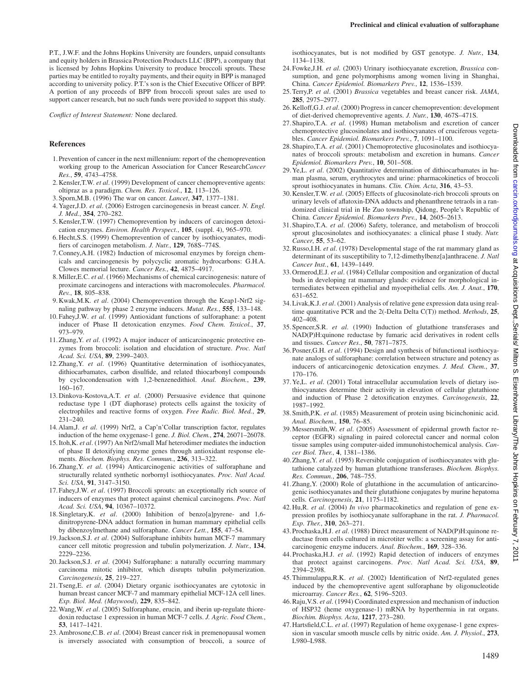P.T., J.W.F. and the Johns Hopkins University are founders, unpaid consultants and equity holders in Brassica Protection Products LLC (BPP), a company that is licensed by Johns Hopkins University to produce broccoli sprouts. These parties may be entitled to royalty payments, and their equity in BPP is managed according to university policy. P.T.'s son is the Chief Executive Officer of BPP. A portion of any proceeds of BPP from broccoli sprout sales are used to support cancer research, but no such funds were provided to support this study.

Conflict of Interest Statement: None declared.

## References

- 1.Prevention of cancer in the next millennium: report of the chemoprevention working group to the American Association for Cancer ResearchCancer Res., 59, 4743–4758.
- 2.Kensler,T.W. et al. (1999) Development of cancer chemopreventive agents: oltipraz as a paradigm. Chem. Res. Toxicol., 12, 113–126.
- 3.Sporn,M.B. (1996) The war on cancer. Lancet, 347, 1377–1381.
- 4.Yager,J.D. et al. (2006) Estrogen carcinogenesis in breast cancer. N. Engl. J. Med., 354, 270–282.
- 5.Kensler,T.W. (1997) Chemoprevention by inducers of carcinogen detoxication enzymes. Environ. Health Perspect., 105, (suppl. 4), 965–970.
- 6.Hecht,S.S. (1999) Chemoprevention of cancer by isothiocyanates, modifiers of carcinogen metabolism. J. Nutr., 129, 768S–774S.
- 7.Conney,A.H. (1982) Induction of microsomal enzymes by foreign chemicals and carcinogenesis by polycyclic aromatic hydrocarbons: G.H.A. Clowes memorial lecture. Cancer Res., 42, 4875–4917.
- 8.Miller,E.C. et al. (1966) Mechanisms of chemical carcinogenesis: nature of proximate carcinogens and interactions with macromolecules. Pharmacol. Rev., 18, 805–838.
- 9.Kwak,M.K. et al. (2004) Chemoprevention through the Keap1-Nrf2 signaling pathway by phase 2 enzyme inducers. Mutat. Res., 555, 133–148.
- 10.Fahey,J.W. et al. (1999) Antioxidant functions of sulforaphane: a potent inducer of Phase II detoxication enzymes. Food Chem. Toxicol., 37, 973–979.
- 11. Zhang, Y. et al. (1992) A major inducer of anticarcinogenic protective enzymes from broccoli: isolation and elucidation of structure. Proc. Natl Acad. Sci. USA, 89, 2399–2403.
- 12.Zhang,Y. et al. (1996) Quantitative determination of isothiocyanates, dithiocarbamates, carbon disulfide, and related thiocarbonyl compounds by cyclocondensation with 1,2-benzenedithiol. Anal. Biochem., 239, 160–167.
- 13.Dinkova-Kostova,A.T. et al. (2000) Persuasive evidence that quinone reductase type 1 (DT diaphorase) protects cells against the toxicity of electrophiles and reactive forms of oxygen. Free Radic. Biol. Med., 29, 231–240.
- 14.Alam,J. et al. (1999) Nrf2, a Cap'n'Collar transcription factor, regulates induction of the heme oxygenase-1 gene. J. Biol. Chem., 274, 26071-26078.
- 15.Itoh,K. et al. (1997) An Nrf2/small Maf heterodimer mediates the induction of phase II detoxifying enzyme genes through antioxidant response elements. Biochem. Biophys. Res. Commun., 236, 313–322.
- 16.Zhang,Y. et al. (1994) Anticarcinogenic activities of sulforaphane and structurally related synthetic norbornyl isothiocyanates. Proc. Natl Acad. Sci. USA, 91, 3147–3150.
- 17.Fahey,J.W. et al. (1997) Broccoli sprouts: an exceptionally rich source of inducers of enzymes that protect against chemical carcinogens. Proc. Natl Acad. Sci. USA, 94, 10367–10372.
- 18.Singletary,K. et al. (2000) Inhibition of benzo[a]pyrene- and 1,6 dinitropyrene-DNA adduct formation in human mammary epithelial cells by dibenzoylmethane and sulforaphane. Cancer Lett., 155, 47–54.
- 19.Jackson,S.J. et al. (2004) Sulforaphane inhibits human MCF-7 mammary cancer cell mitotic progression and tubulin polymerization. J. Nutr., 134, 2229–2236.
- 20.Jackson,S.J. et al. (2004) Sulforaphane: a naturally occurring mammary carcinoma mitotic inhibitor, which disrupts tubulin polymerization. Carcinogenesis, 25, 219–227.
- 21.Tseng,E. et al. (2004) Dietary organic isothiocyanates are cytotoxic in human breast cancer MCF-7 and mammary epithelial MCF-12A cell lines. Exp. Biol. Med. (Maywood), 229, 835–842.
- 22.Wang,W. et al. (2005) Sulforaphane, erucin, and iberin up-regulate thioredoxin reductase 1 expression in human MCF-7 cells. J. Agric. Food Chem., 53, 1417–1421.
- 23.Ambrosone,C.B. et al. (2004) Breast cancer risk in premenopausal women is inversely associated with consumption of broccoli, a source of

isothiocyanates, but is not modified by GST genotype. J. Nutr., 134, 1134–1138.

- 24.Fowke,J.H. et al. (2003) Urinary isothiocyanate excretion, Brassica consumption, and gene polymorphisms among women living in Shanghai, China. Cancer Epidemiol. Biomarkers Prev., 12, 1536–1539.
- 25.Terry,P. et al. (2001) Brassica vegetables and breast cancer risk. JAMA, 285, 2975–2977.
- 26.Kelloff,G.J. et al. (2000) Progress in cancer chemoprevention: development of diet-derived chemopreventive agents. J. Nutr., 130, 467S–471S.
- 27.Shapiro,T.A. et al. (1998) Human metabolism and excretion of cancer chemoprotective glucosinolates and isothiocyanates of cruciferous vegetables. Cancer Epidemiol. Biomarkers Prev., 7, 1091–1100.
- 28. Shapiro, T.A. et al. (2001) Chemoprotective glucosinolates and isothiocyanates of broccoli sprouts: metabolism and excretion in humans. Cancer Epidemiol. Biomarkers Prev., 10, 501–508.
- 29.Ye,L. et al. (2002) Quantitative determination of dithiocarbamates in human plasma, serum, erythrocytes and urine: pharmacokinetics of broccoli sprout isothiocyanates in humans. Clin. Chim. Acta, 316, 43-53.
- 30.Kensler,T.W. et al. (2005) Effects of glucosinolate-rich broccoli sprouts on urinary levels of aflatoxin-DNA adducts and phenanthrene tetraols in a randomized clinical trial in He Zuo township, Qidong, People's Republic of China. Cancer Epidemiol. Biomarkers Prev., 14, 2605–2613.
- 31.Shapiro,T.A. et al. (2006) Safety, tolerance, and metabolism of broccoli sprout glucosinolates and isothiocyanates: a clinical phase I study. Nutr. Cancer, 55, 53–62.
- 32.Russo,I.H. et al. (1978) Developmental stage of the rat mammary gland as determinant of its susceptibility to 7,12-dimethylbenz[a]anthracene. J. Natl Cancer Inst., 61, 1439–1449.
- 33.Ormerod,E.J. et al. (1984) Cellular composition and organization of ductal buds in developing rat mammary glands: evidence for morphological intermediates between epithelial and myoepithelial cells. Am. J. Anat., 170, 631–652.
- 34.Livak,K.J. et al. (2001) Analysis of relative gene expression data using realtime quantitative PCR and the 2(-Delta Delta C(T)) method. Methods, 25, 402–408.
- 35.Spencer,S.R. et al. (1990) Induction of glutathione transferases and NAD(P)H:quinone reductase by fumaric acid derivatives in rodent cells and tissues. Cancer Res., 50, 7871–7875.
- 36.Posner,G.H. et al. (1994) Design and synthesis of bifunctional isothiocyanate analogs of sulforaphane: correlation between structure and potency as inducers of anticarcinogenic detoxication enzymes. J. Med. Chem., 37, 170–176.
- 37.Ye,L. et al. (2001) Total intracellular accumulation levels of dietary isothiocyanates determine their activity in elevation of cellular glutathione and induction of Phase 2 detoxification enzymes. Carcinogenesis, 22, 1987–1992.
- 38.Smith,P.K. et al. (1985) Measurement of protein using bicinchoninic acid. Anal. Biochem., 150, 76–85.
- 39.Messersmith,W. et al. (2005) Assessment of epidermal growth factor receptor (EGFR) signaling in paired colorectal cancer and normal colon tissue samples using computer-aided immunohistochemical analysis. Cancer Biol. Ther., 4, 1381–1386.
- 40.Zhang,Y. et al. (1995) Reversible conjugation of isothiocyanates with glutathione catalyzed by human glutathione transferases. Biochem. Biophys. Res. Commun., 206, 748–755.
- 41.Zhang,Y. (2000) Role of glutathione in the accumulation of anticarcinogenic isothiocyanates and their glutathione conjugates by murine hepatoma cells. Carcinogenesis, 21, 1175–1182.
- 42. Hu, R. et al. (2004) In vivo pharmacokinetics and regulation of gene expression profiles by isothiocyanate sulforaphane in the rat. J. Pharmacol. Exp. Ther., 310, 263–271.
- 43.Prochaska,H.J. et al. (1988) Direct measurement of NAD(P)H:quinone reductase from cells cultured in microtiter wells: a screening assay for anticarcinogenic enzyme inducers. Anal. Biochem., 169, 328–336.
- 44. Prochaska,H.J. et al. (1992) Rapid detection of inducers of enzymes that protect against carcinogens. Proc. Natl Acad. Sci. USA, 89, 2394–2398.
- 45.Thimmulappa,R.K. et al. (2002) Identification of Nrf2-regulated genes induced by the chemopreventive agent sulforaphane by oligonucleotide microarray. Cancer Res., 62, 5196–5203.
- 46.Raju,V.S. et al. (1994) Coordinated expression and mechanism of induction of HSP32 (heme oxygenase-1) mRNA by hyperthermia in rat organs. Biochim. Biophys. Acta, 1217, 273–280.
- 47. Hartsfield, C.L. et al. (1997) Regulation of heme oxygenase-1 gene expression in vascular smooth muscle cells by nitric oxide. Am. J. Physiol., 273, L980–L988.